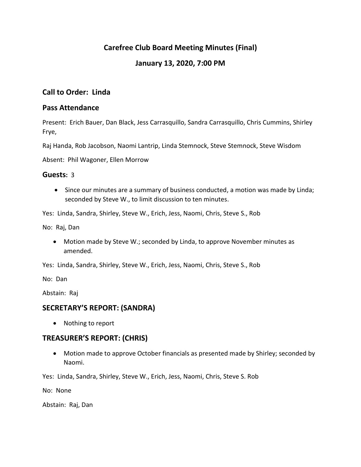# **Carefree Club Board Meeting Minutes (Final)**

# **January 13, 2020, 7:00 PM**

# **Call to Order: Linda**

## **Pass Attendance**

Present: Erich Bauer, Dan Black, Jess Carrasquillo, Sandra Carrasquillo, Chris Cummins, Shirley Frye,

Raj Handa, Rob Jacobson, Naomi Lantrip, Linda Stemnock, Steve Stemnock, Steve Wisdom

Absent: Phil Wagoner, Ellen Morrow

## **Guests:** 3

• Since our minutes are a summary of business conducted, a motion was made by Linda; seconded by Steve W., to limit discussion to ten minutes.

Yes: Linda, Sandra, Shirley, Steve W., Erich, Jess, Naomi, Chris, Steve S., Rob

No: Raj, Dan

 Motion made by Steve W.; seconded by Linda, to approve November minutes as amended.

Yes: Linda, Sandra, Shirley, Steve W., Erich, Jess, Naomi, Chris, Steve S., Rob

No: Dan

Abstain: Raj

## **SECRETARY'S REPORT: (SANDRA)**

• Nothing to report

## **TREASURER'S REPORT: (CHRIS)**

 Motion made to approve October financials as presented made by Shirley; seconded by Naomi.

Yes: Linda, Sandra, Shirley, Steve W., Erich, Jess, Naomi, Chris, Steve S. Rob

No: None

Abstain: Raj, Dan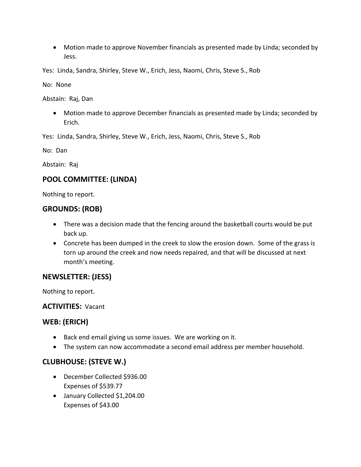Motion made to approve November financials as presented made by Linda; seconded by Jess.

Yes: Linda, Sandra, Shirley, Steve W., Erich, Jess, Naomi, Chris, Steve S., Rob

No: None

Abstain: Raj, Dan

 Motion made to approve December financials as presented made by Linda; seconded by Erich.

Yes: Linda, Sandra, Shirley, Steve W., Erich, Jess, Naomi, Chris, Steve S., Rob

No: Dan

Abstain: Raj

# **POOL COMMITTEE: (LINDA)**

Nothing to report.

# **GROUNDS: (ROB)**

- There was a decision made that the fencing around the basketball courts would be put back up.
- Concrete has been dumped in the creek to slow the erosion down. Some of the grass is torn up around the creek and now needs repaired, and that will be discussed at next month's meeting.

# **NEWSLETTER: (JESS)**

Nothing to report.

**ACTIVITIES:** Vacant

# **WEB: (ERICH)**

- Back end email giving us some issues. We are working on it.
- The system can now accommodate a second email address per member household.

# **CLUBHOUSE: (STEVE W.)**

- December Collected \$936.00 Expenses of \$539.77
- January Collected \$1,204.00 Expenses of \$43.00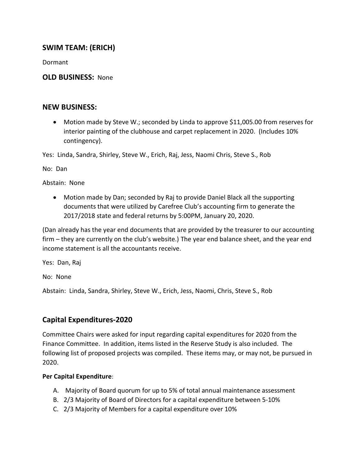# **SWIM TEAM: (ERICH)**

Dormant

## **OLD BUSINESS:** None

## **NEW BUSINESS:**

 Motion made by Steve W.; seconded by Linda to approve \$11,005.00 from reserves for interior painting of the clubhouse and carpet replacement in 2020. (Includes 10% contingency).

Yes: Linda, Sandra, Shirley, Steve W., Erich, Raj, Jess, Naomi Chris, Steve S., Rob

No: Dan

Abstain: None

 Motion made by Dan; seconded by Raj to provide Daniel Black all the supporting documents that were utilized by Carefree Club's accounting firm to generate the 2017/2018 state and federal returns by 5:00PM, January 20, 2020.

(Dan already has the year end documents that are provided by the treasurer to our accounting firm – they are currently on the club's website.) The year end balance sheet, and the year end income statement is all the accountants receive.

Yes: Dan, Raj

No: None

Abstain: Linda, Sandra, Shirley, Steve W., Erich, Jess, Naomi, Chris, Steve S., Rob

# **Capital Expenditures-2020**

Committee Chairs were asked for input regarding capital expenditures for 2020 from the Finance Committee. In addition, items listed in the Reserve Study is also included. The following list of proposed projects was compiled. These items may, or may not, be pursued in 2020.

## **Per Capital Expenditure**:

- A. Majority of Board quorum for up to 5% of total annual maintenance assessment
- B. 2/3 Majority of Board of Directors for a capital expenditure between 5-10%
- C. 2/3 Majority of Members for a capital expenditure over 10%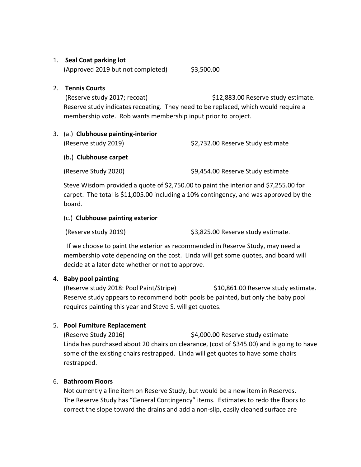### 1. **Seal Coat parking lot**

 $(\text{Approved } 2019 \text{ but not completed})$  \$3,500.00

### 2. **Tennis Courts**

(Reserve study 2017; recoat)  $$12,883.00$  Reserve study estimate. Reserve study indicates recoating. They need to be replaced, which would require a membership vote. Rob wants membership input prior to project.

### 3. (a.) **Clubhouse painting-interior**

(Reserve study 2019) \$2,732.00 Reserve Study estimate

### (b**.**) **Clubhouse carpet**

(Reserve Study 2020) \$9,454.00 Reserve Study estimate

Steve Wisdom provided a quote of \$2,750.00 to paint the interior and \$7,255.00 for carpet. The total is \$11,005.00 including a 10% contingency, and was approved by the board.

### (c.) **Clubhouse painting exterior**

(Reserve study 2019) \$3,825.00 Reserve study estimate.

 If we choose to paint the exterior as recommended in Reserve Study, may need a membership vote depending on the cost. Linda will get some quotes, and board will decide at a later date whether or not to approve.

## 4. **Baby pool painting**

(Reserve study 2018: Pool Paint/Stripe) \$10,861.00 Reserve study estimate. Reserve study appears to recommend both pools be painted, but only the baby pool requires painting this year and Steve S. will get quotes.

## 5. **Pool Furniture Replacement**

(Reserve Study 2016) \$4,000.00 Reserve study estimate Linda has purchased about 20 chairs on clearance, (cost of \$345.00) and is going to have some of the existing chairs restrapped. Linda will get quotes to have some chairs restrapped.

#### 6. **Bathroom Floors**

Not currently a line item on Reserve Study, but would be a new item in Reserves. The Reserve Study has "General Contingency" items. Estimates to redo the floors to correct the slope toward the drains and add a non-slip, easily cleaned surface are